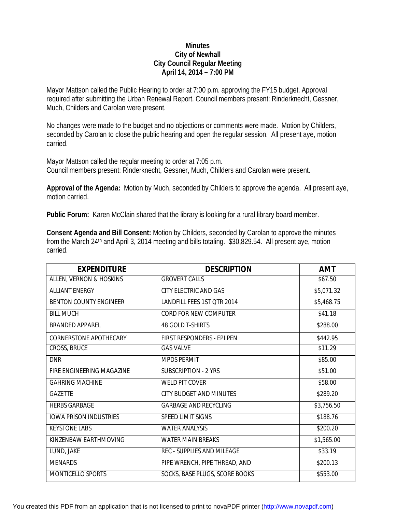## **Minutes City of Newhall City Council Regular Meeting April 14, 2014 – 7:00 PM**

Mayor Mattson called the Public Hearing to order at 7:00 p.m. approving the FY15 budget. Approval required after submitting the Urban Renewal Report. Council members present: Rinderknecht, Gessner, Much, Childers and Carolan were present.

No changes were made to the budget and no objections or comments were made. Motion by Childers, seconded by Carolan to close the public hearing and open the regular session. All present aye, motion carried.

Mayor Mattson called the regular meeting to order at 7:05 p.m. Council members present: Rinderknecht, Gessner, Much, Childers and Carolan were present.

**Approval of the Agenda:** Motion by Much, seconded by Childers to approve the agenda. All present aye, motion carried.

**Public Forum:** Karen McClain shared that the library is looking for a rural library board member.

**Consent Agenda and Bill Consent:** Motion by Childers, seconded by Carolan to approve the minutes from the March 24<sup>th</sup> and April 3, 2014 meeting and bills totaling. \$30,829.54. All present aye, motion carried.

| <b>EXPENDITURE</b>            | <b>DESCRIPTION</b>                | <b>AMT</b> |
|-------------------------------|-----------------------------------|------------|
| ALLEN, VERNON & HOSKINS       | <b>GROVERT CALLS</b>              | \$67.50    |
| <b>ALLIANT ENERGY</b>         | CITY ELECTRIC AND GAS             | \$5,071.32 |
| <b>BENTON COUNTY ENGINEER</b> | LANDFILL FEES 1ST QTR 2014        | \$5,468.75 |
| <b>BILL MUCH</b>              | CORD FOR NEW COMPUTER             | \$41.18    |
| <b>BRANDED APPAREL</b>        | <b>48 GOLD T-SHIRTS</b>           | \$288.00   |
| <b>CORNERSTONE APOTHECARY</b> | FIRST RESPONDERS - EPI PEN        | \$442.95   |
| <b>CROSS, BRUCE</b>           | <b>GAS VALVE</b>                  | \$11.29    |
| <b>DNR</b>                    | <b>MPDS PERMIT</b>                | \$85.00    |
| FIRE ENGINEERING MAGAZINE     | <b>SUBSCRIPTION - 2 YRS</b>       | \$51.00    |
| <b>GAHRING MACHINE</b>        | <b>WELD PIT COVER</b>             | \$58.00    |
| <b>GAZETTE</b>                | CITY BUDGET AND MINUTES           | \$289.20   |
| <b>HERBS GARBAGE</b>          | <b>GARBAGE AND RECYCLING</b>      | \$3,756.50 |
| <b>IOWA PRISON INDUSTRIES</b> | <b>SPEED LIMIT SIGNS</b>          | \$188.76   |
| <b>KEYSTONE LABS</b>          | <b>WATER ANALYSIS</b>             | \$200.20   |
| KINZENBAW EARTHMOVING         | <b>WATER MAIN BREAKS</b>          | \$1,565.00 |
| LUND, JAKE                    | <b>REC - SUPPLIES AND MILEAGE</b> | \$33.19    |
| <b>MENARDS</b>                | PIPE WRENCH, PIPE THREAD, AND     | \$200.13   |
| MONTICELLO SPORTS             | SOCKS, BASE PLUGS, SCORE BOOKS    | \$553.00   |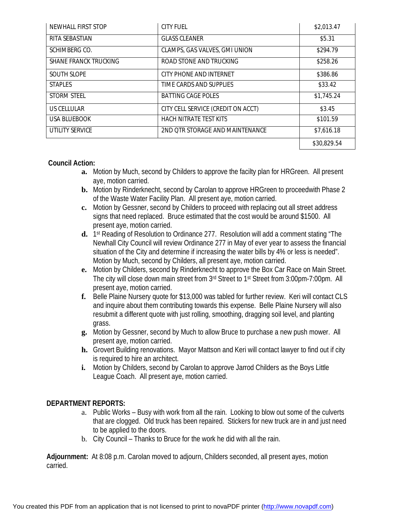| NEWHALL FIRST STOP           | <b>CITY FUEL</b>                   | \$2,013.47  |
|------------------------------|------------------------------------|-------------|
| RITA SEBASTIAN               | <b>GLASS CLEANER</b>               | \$5.31      |
| SCHIMBERG CO.                | CLAMPS, GAS VALVES, GMI UNION      | \$294.79    |
| <b>SHANE FRANCK TRUCKING</b> | ROAD STONE AND TRUCKING            | \$258.26    |
| <b>SOUTH SLOPE</b>           | CITY PHONE AND INTERNET            | \$386.86    |
| <b>STAPLES</b>               | TIME CARDS AND SUPPLIES            | \$33.42     |
| <b>STORM STEEL</b>           | <b>BATTING CAGE POLES</b>          | \$1,745.24  |
| US CELLULAR                  | CITY CELL SERVICE (CREDIT ON ACCT) | \$3.45      |
| USA BLUEBOOK                 | <b>HACH NITRATE TEST KITS</b>      | \$101.59    |
| <b>UTILITY SERVICE</b>       | 2ND OTR STORAGE AND MAINTENANCE    | \$7,616.18  |
|                              |                                    | \$30,829.54 |

## **Council Action:**

- **a.** Motion by Much, second by Childers to approve the facilty plan for HRGreen. All present aye, motion carried.
- **b.** Motion by Rinderknecht, second by Carolan to approve HRGreen to proceedwith Phase 2 of the Waste Water Facility Plan. All present aye, motion carried.
- **c.** Motion by Gessner, second by Childers to proceed with replacing out all street address signs that need replaced. Bruce estimated that the cost would be around \$1500. All present aye, motion carried.
- **d.** 1 st Reading of Resolution to Ordinance 277. Resolution will add a comment stating "The Newhall City Council will review Ordinance 277 in May of ever year to assess the financial situation of the City and determine if increasing the water bills by 4% or less is needed". Motion by Much, second by Childers, all present aye, motion carried.
- **e.** Motion by Childers, second by Rinderknecht to approve the Box Car Race on Main Street. The city will close down main street from 3rd Street to 1st Street from 3:00pm-7:00pm. All present aye, motion carried.
- **f.** Belle Plaine Nursery quote for \$13,000 was tabled for further review. Keri will contact CLS and inquire about them contributing towards this expense. Belle Plaine Nursery will also resubmit a different quote with just rolling, smoothing, dragging soil level, and planting grass.
- **g.** Motion by Gessner, second by Much to allow Bruce to purchase a new push mower. All present aye, motion carried.
- **h.** Grovert Building renovations. Mayor Mattson and Keri will contact lawyer to find out if city is required to hire an architect.
- **i.** Motion by Childers, second by Carolan to approve Jarrod Childers as the Boys Little League Coach. All present aye, motion carried.

## **DEPARTMENT REPORTS:**

- a. Public Works Busy with work from all the rain. Looking to blow out some of the culverts that are clogged. Old truck has been repaired. Stickers for new truck are in and just need to be applied to the doors.
- b. City Council Thanks to Bruce for the work he did with all the rain.

**Adjournment:** At 8:08 p.m. Carolan moved to adjourn, Childers seconded, all present ayes, motion carried.